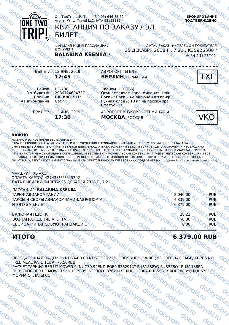

OneTwoTrip LLP, Тел: +7 (495) 646-83-62 Агент: White Travel LLC, IATA 92152185

# КВИТАНЦИЯ ПО ЗАКАЗУ / ЭЛ.

**БРОНИРОВАНИЕ ПОДТВЕРЖДЕНО**

ФАМИЛИЯ И ИМЯ ПАССАЖИРА / ДОКУМЕНТ **BALABINA KSENIIA** 

ДАТА / ЗАКАЗ № / ТЕЛЕФ ОН ПОКУПАТЕЛЯ 25 ДЕКАБРЯ 2018 Г., 7:21 / К35926500 +79201\*\*\*45

ВЫЛЕТ: $\bigcirc$  12 ЯНВ. 2019 Г. **12:45**

БИЛЕТ

АЭРОПОРТ ТЕГЕЛЬ **БЕРЛИН** ГЕРМАНИЯ

Рейс# Эл. билет# Бронь# Авиакомпания

UT-706 2986124604737 **B8LB88, "UT"** Utair<sub></sub>

2<sup>3</sup>0<sub>0</sub>

ПРИЛЁТ: 12 ЯНВ. 2019 Г. **17:30**

Эконом (LLTOW) Осуществляет авиакомпания Utair Багаж: Багаж не включён в тариф. Ручная кладь: 10 кг на пассажира Статус: НК

АЭРОПОРТ ВНУКОВО , ТЕРМИНАЛ А **МОСКВА**, РОССИЯ



## **ВАЖНО**

УКАЗ АНО МЕСТНОЕ ВРЕМЯ ВЫЛЕТА/ПРИБЫТИЯ.

ЗАРАНЕЕ СВЯЖИТЕСЬ С АВИАКОМПАНИЕЙ ДЛЯ УТОЧНЕНИЯ ТЕРМИНАЛОВ ВЫЛЕТА/ПРИБЫТИЯ, УСЛОВИЙ ПРОВОЗА БАГАЖА. ДЛЯ ВЪЕЗДА ВО МНОГИЕ СТРАНЫ ТРЕБУЕТСЯ ДЕЙСТВУЮЩАЯ ВИЗА. УСЛОВИЯ ВЪЕЗДА В ПУНКТ ВАШЕГО НАЗНАЧЕНИЯ НЕОБХОДИМО ДЯЛ В ВЕЗДА ВО МНОГИЕ ОН АНЫ НЕВЯЕТСЯ ДЕЛСТВЯДАЛ ВИЗА: УСЛОВИЛ В ВЕЗДА В НЯНКТВАШЕТО НАЗНАТЕНИЯ НЕОВХОДИМО<br>УТОЧНИТЬ НА САЙТЕ МИНИСТЕРСТВА ИНОСТРАННЫХ ДЕЛ СТРАНЫ, КОТОРУЮ ВЫ СОБИРАЕТЕСЬ ПОСЕТИТЬ. НА ВСЕХ УЧАСТКАХ ПЕРЕЛЕТА ПРИМЕНЯЮТСЯ МЕЖДУНАРОДНЫЕ СОГЛАШЕНИЯ, ИЗВЕСТНЫЕ КАК МОНРЕАЛЬСКАЯ КОНВЕНЦИЯ (РАНЕЕ ВАРШАВСКАЯ КОНВЕНЦИЯ) И ВСЕ ПОПРАВКИ К НЕЙ. ЭТИ СОГЛАШЕНИЯ, ВКЛЮЧАЯ ВСЕ СПЕЦИАЛЬНЫЕ УСЛОВИЯ ПЕРЕВОЗКИ, КОТОРЫЕ ПРИМЕНЯЮТСЯ К ВЫБРАННОМУ АВИАТАРИФУ, РЕГУЛИРУЮТ И МОГУТ ОГРАНИЧИВАТЬ ОТВЕТСТВЕННОСТЬ ПЕРЕВОЗЧИКА. ПОДРОБНЕЕ НА http://www.iatatravelcentre.com/tickets/

МАРШРУТ TXL-VKO ОПЛАТА КАРТОЙ 427438\*\*\*\*\*\*5792 ДАТА ВЫПИСКИ БИЛЕТА: 25 ДЕКАБРЯ 2018 Г., 7:21

ПАССАЖИР: **BALABINA KSENIIA** ТАРИФ АВИАКОМПАНИИ ОД САЗРОПОРТА СИЛИСИ СА СА 2 040.00 ГАКСЫ И СБОРЫ АВИАКОМПАНИИ АЭРОПОРТА ТАКСЫ И СБОРЫ АВИАКОМПАНИИ/АЭРОПОРТА  $\sim$   $\sim$   $\sim$   $\sim$   $\sim$  4 339.00  $\sim$  RUB ИТОГО ЗА БИЛЕТУ  $\alpha$ ,  $\alpha$ ,  $\alpha$ ,  $\alpha$ ,  $\alpha$ ,  $\alpha$ ,  $\alpha$ ,  $\alpha$ ,  $\alpha$ ,  $\alpha$ ,  $\alpha$ ,  $\alpha$ ,  $\alpha$ ,  $\alpha$ ,  $\alpha$ ,  $\alpha$ 

**ВКЛЮЧАЯ НДС ТКП 28.22** RUB BOSHAFPA RUB BOSHAFPA RUB BOSHAFPA RUB AT LATERTY AND BOSHAFPA RUB AND RUB BOSHAFPA RUB ВОЗНАГРАЖДЕНИЕ АГЕНТА -0.00 RUB СБОР ЗА ФИНАНСОВУЮ ТРАНЗАКЦИЮ 2. СИ ОД ОД 0.00  $\sqrt{2}$  RUB

**ИТОГО 6.379.00 RUB** 

ПЕРЕДАТОЧНАЯ НАДПИСЬ NDSA/C0.00 NDSZZ28.22/NO REISSUE/NON-REF/NO FREE BAGGAGE/UT-706 NO FREE MEAL RATE 1EUR=75.50RUB РАСЧЕТ ТАРИФА BER UT MOW39.94NUC39.94END ROE0.876291XT RUB1888YQ RUB558OY RUB1138RA RUB570DE;BER UT MOW29.95NUC29.95END ROE0.876291XT RUB1138RA RUB558OY RUB1888YQ RUB570DE ФОРМА ОПЛАТЫ CC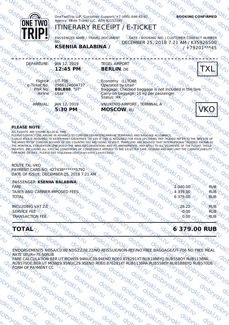

### **PLEASE NOTE**

ALL FLIGHTS ARE SHOWN IN LOCAL TIME. ALL FLIGHTS AND STIOWN IN LOCAL TIME.<br>PLEASE CONTACT THE AIRLINE IN ADVANCE TO CONFIRM DEPARTURE/ARRIVAL TERMINALS AND BAGGAGE ALLOWANCE. A VALID VISA IS REQUIRED TO ENTER MANY COUNTRIES. TO SEE IF ONE IS REQUIRED FOR YOUR UPCOMING TRIP, PLEASE REFER TO THE WEBSITE OF THE MINISTRY OF FOREIGN AFFAIRS OF THE COUNTRY YOU ARE GOING TO VISIT. TRAVELERS ARE ADVIS ED THAT INTERNATIONAL TREATIES KNOWN AS THE MONTREAL CONVENTION (PREVIOS LY THE WARS AW CONVENTION) AND ITS AMENDMENTS, MAY APPLY TO ALL SEGMENTS OF THE FLIGHT. THESE TREATIES, INCLUDING ALL SPECIAL CONDITIONS OF CONVEYANCE APPLIED TO THE SELECTED FARE, GOVERN AND MAY LIMIT THE CARRIER LIABILITY. FOR MORE DETAILS, PLEASE SEE http://www.iatatravelcentre.com/tickets/

ROUTE TXL-VKO PAYMENT CARD NO. 427438 \*\*\*\*\* \* 5792 DATE OF ISSUE: DECEMBER 25, 2018 7:21 AM

**CPASSENGER: KSENIIA BALABINA** FARE  $\sim 0$   $\sim 10$   $\frac{V_{\text{c}}}{V_{\text{c}}}$   $\sim 2040.00$  RUB FARE OF RUB TAXES AND CARRIER-IMPOSED FEES  $\frac{kT_{i}}{N}$  of  $\frac{N_{i}}{N}$  of  $\frac{N_{i}}{N}$  a 339.00  $\frac{6}{N}$  RUB TOTAL  $U$   $V_0$   $V_1$   $V_2$   $V_3$   $V_4$   $V_5$   $V_6$   $V_7$   $V_8$   $V_9$   $V_1$   $V_2$   $V_3$   $V_1$   $V_2$   $V_3$   $V_1$   $V_2$   $V_3$   $V_1$   $V_2$   $V_3$   $V_1$   $V_2$   $V_3$   $V_1$   $V_2$   $V_3$   $V_1$   $V_2$   $V_3$   $V_1$   $V_2$   $V_3$   $V_1$ 

TRANSACTION FEED  $\frac{1}{2}$   $\frac{1}{2}$   $\frac{1}{2}$   $\frac{1}{2}$   $\frac{1}{2}$   $\frac{1}{2}$   $\frac{1}{2}$   $\frac{1}{2}$   $\frac{1}{2}$   $\frac{1}{2}$   $\frac{1}{2}$   $\frac{1}{2}$   $\frac{1}{2}$   $\frac{1}{2}$   $\frac{1}{2}$   $\frac{1}{2}$   $\frac{1}{2}$   $\frac{1}{2}$   $\frac{1}{2}$   $\frac{1}{2}$   $\frac{$ 

INCLUDING VAT  $\frac{270}{h}$  or  $\frac{1}{h}$  or  $\frac{1}{h}$  or  $\frac{1}{h}$  or  $\frac{1}{h}$  or  $\frac{1}{h}$  or  $\frac{1}{h}$  or  $\frac{1}{h}$  or  $\frac{1}{h}$  or  $\frac{1}{h}$  or  $\frac{1}{h}$   $\frac{1}{h}$   $\frac{1}{h}$   $\frac{1}{h}$   $\frac{1}{h}$   $\frac{1}{h}$   $\frac{1}{h}$   $\frac{1$ SERVICE FEE  $k_1$ ,  $\sqrt{2}$ ,  $\sqrt{6}$ ,  $\sqrt{6}$ ,  $\sqrt{7}$ ,  $\sqrt{2}$ ,  $\sqrt{2}$ ,  $\sqrt{2}$ ,  $\sqrt{2}$ ,  $\sqrt{6}$ ,  $\sqrt{6}$ ,  $\sqrt{2}$ ,  $\sqrt{1}$ ,  $\sqrt{6}$ 

# $T$ **OTAL 1**  $\frac{1}{2}$   $\frac{1}{2}$   $\frac{1}{2}$   $\frac{1}{2}$   $\frac{1}{2}$   $\frac{1}{2}$   $\frac{1}{2}$   $\frac{1}{2}$   $\frac{1}{2}$   $\frac{1}{2}$   $\frac{1}{2}$   $\frac{1}{2}$   $\frac{1}{2}$   $\frac{1}{2}$   $\frac{1}{2}$   $\frac{1}{2}$   $\frac{1}{2}$   $\frac{1}{2}$   $\frac{1}{2}$   $\frac{1}{2}$   $\frac{1}{2$

ENDORSEMENTS NDSA/C0.00 NDSZZ28.22/NO REISSUE/NON-REF/NO FREE BAGGAGE/UT-706 NO FREE MEAL RATE 1EUR=75.50RUB

FARE CALCULATION BER UT MOW39.94NUC39.94END ROE0.876291XT RUB1888YQ RUB558OY RUB1138RA RUB570DE;BER UT MOW29.95NUC29.95END ROE0.876291XT RUB1138RA RUB558OY RUB1888YQ RUB570DE FORM OF PAYMENT CC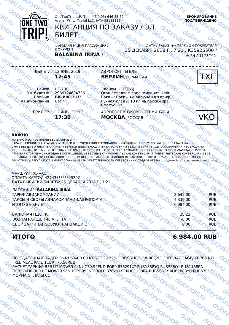

OneTwoTrip LLP, Тел: +7 (495) 646-83-62 Агент: White Travel LLC, IATA 92152185

# КВИТАНЦИЯ ПО ЗАКАЗУ / ЭЛ.

**БРОНИРОВАНИЕ ПОДТВЕРЖДЕНО**

ФАМИЛИЯ И ИМЯ ПАССАЖИРА / ДОКУМЕНТ **BALABINA IRINA** 

ДАТА / ЗАКАЗ № / ТЕЛЕФ ОН ПОКУПАТЕЛЯ 25 ДЕКАБРЯ 2018 Г., 7:21 / К35926500 +79201\*\*\*45

ВЫЛЕТ: $\bigcirc$  12 ЯНВ. 2019 Г. **12:45**

БИЛЕТ

АЭРОПОРТ ТЕГЕЛЬ **БЕРЛИН** ГЕРМАНИЯ

Рейс# Эл. билет# Бронь# Авиакомпания

UT-706 2986124604736 **B8LB88, "UT"** Utair<sub></sub>

2<sup>30</sup>0523

ПРИЛЁТ: 12 ЯНВ. 2019 Г. **17:30**

Эконом (LLTOW) Осуществляет авиакомпания Utair Багаж: Багаж не включён в тариф. Ручная кладь: 10 кг на пассажира Статус: НК

АЭРОПОРТ ВНУКОВО , ТЕРМИНАЛ А **МОСКВА**, РОССИЯ



## **ВАЖНО**

УКАЗ АНО МЕСТНОЕ ВРЕМЯ ВЫЛЕТА/ПРИБЫТИЯ.

ЗАРАНЕЕ СВЯЖИТЕСЬ С АВИАКОМПАНИЕЙ ДЛЯ УТОЧНЕНИЯ ТЕРМИНАЛОВ ВЫЛЕТА/ПРИБЫТИЯ, УСЛОВИЙ ПРОВОЗА БАГАЖА. ДЛЯ ВЪЕЗДА ВО МНОГИЕ СТРАНЫ ТРЕБУЕТСЯ ДЕЙСТВУЮЩАЯ ВИЗА. УСЛОВИЯ ВЪЕЗДА В ПУНКТ ВАШЕГО НАЗНАЧЕНИЯ НЕОБХОДИМО ДЯЛ В ВЕЗДА ВО МНОГИЕ ОН АНЫ НЕВЯЕТСЯ ДЕЛСТВЯДАЛ ВИЗА: УСЛОВИЛ В ВЕЗДА В НЯНКТВАШЕТО НАЗНАТЕНИЯ НЕОВХОДИМО<br>УТОЧНИТЬ НА САЙТЕ МИНИСТЕРСТВА ИНОСТРАННЫХ ДЕЛ СТРАНЫ, КОТОРУЮ ВЫ СОБИРАЕТЕСЬ ПОСЕТИТЬ. НА ВСЕХ УЧАСТКАХ ПЕРЕЛЕТА ПРИМЕНЯЮТСЯ МЕЖДУНАРОДНЫЕ СОГЛАШЕНИЯ, ИЗВЕСТНЫЕ КАК МОНРЕАЛЬСКАЯ КОНВЕНЦИЯ (РАНЕЕ ВАРШАВСКАЯ КОНВЕНЦИЯ) И ВСЕ ПОПРАВКИ К НЕЙ. ЭТИ СОГЛАШЕНИЯ, ВКЛЮЧАЯ ВСЕ СПЕЦИАЛЬНЫЕ УСЛОВИЯ ПЕРЕВОЗКИ, КОТОРЫЕ ПРИМЕНЯЮТСЯ К ВЫБРАННОМУ АВИАТАРИФУ, РЕГУЛИРУЮТ И МОГУТ ОГРАНИЧИВАТЬ ОТВЕТСТВЕННОСТЬ ПЕРЕВОЗЧИКА. ПОДРОБНЕЕ НА http://www.iatatravelcentre.com/tickets/

МАРШРУТ TXL-VKO ОПЛАТА КАРТОЙ 427438\*\*\*\*\*\*5792 ДАТА ВЫПИСКИ БИЛЕТА: 25 ДЕКАБРЯ 2018 Г., 7:21

ПАССАЖИР: **BALABINA IRINA** ТАРИФ АВИАКОМПАНИИ 2 645.00 ТАКСЫ И СБОРЫ АВИАКОМПАНИИ/АЭРОПОРТА  $\sim$   $\sim$   $\sim$   $\sim$   $\sim$  4 339.00  $\sim$  RUB ИТОГО ЗА БИЛЕТУ  $\alpha$ ,  $\alpha$ ,  $\alpha$ ,  $\alpha$ ,  $\alpha$ ,  $\alpha$ ,  $\alpha$ ,  $\alpha$ ,  $\alpha$ ,  $\alpha$ ,  $\alpha$ ,  $\alpha$ ,  $\alpha$ ,  $\alpha$ ,  $\alpha$ 

**ВКЛЮЧАЯ НДС ТКП 28.22** RUB BOSHAFPA RUB BOSHAFPA RUB BOSHAFPA RUB AT LATERTY AND BOSHAFPA RUB AND RUB BOSHAFPA RUB ВОЗНАГРАЖДЕНИЕ АГЕНТА -0.00 RUB СБОР ЗА ФИНАНСОВУЮ ТРАНЗАКЦИЮ 2. СИ ОД 0.00  $\sqrt{2}$  RUB

## **ИТОГО 6 984.00 RUB**

ПЕРЕДАТОЧНАЯ НАДПИСЬ NDSA/C0.00 NDSZZ28.22/NO REISSUE/NON-REF/NO FREE BAGGAGE/UT-706 NO FREE MEAL RATE 1EUR=75.50RUB РАСЧЕТ ТАРИФА BER UT MOW39.94NUC39.94END ROE0.876291XT RUB1888YQ RUB558OY RUB1138RA RUB570DE;BER UT MOW29.95NUC29.95END ROE0.876291XT RUB1138RA RUB558OY RUB1888YQ RUB570DE ФОРМА ОПЛАТЫ CC